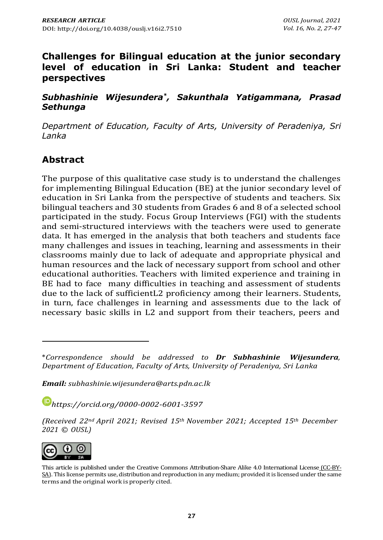## **Challenges for Bilingual education at the junior secondary level of education in Sri Lanka: Student and teacher perspectives**

#### *Subhashinie Wijesundera\* , Sakunthala Yatigammana, Prasad Sethunga*

*Department of Education, Faculty of Arts, University of Peradeniya, Sri Lanka*

# **Abstract**

The purpose of this qualitative case study is to understand the challenges for implementing Bilingual Education (BE) at the junior secondary level of education in Sri Lanka from the perspective of students and teachers. Six bilingual teachers and 30 students from Grades 6 and 8 of a selected school participated in the study. Focus Group Interviews (FGI) with the students and semi-structured interviews with the teachers were used to generate data. It has emerged in the analysis that both teachers and students face many challenges and issues in teaching, learning and assessments in their classrooms mainly due to lack of adequate and appropriate physical and human resources and the lack of necessary support from school and other educational authorities. Teachers with limited experience and training in BE had to face many difficulties in teaching and assessment of students due to the lack of sufficientL2 proficiency among their learners. Students, in turn, face challenges in learning and assessments due to the lack of necessary basic skills in L2 and support from their teachers, peers and

*Email: [subhashinie.wijesundera@arts.pdn.ac.lk](mailto:subhashinie.wijesundera@arts.pdn.ac.lk)*

*[https://orcid.org/0](https://orcid.org/)000-0002-6001-3597*

*(Received 22nd April 2021; Revised 15th November 2021; Accepted 15th December 2021 © OUSL)*



This article is published under the Creative Commons [Attribution-Share](http://creativecommons.org/licenses/by-sa/4.0/) Alike 4.0 International License (CC-BY-SA). This license permits use, distribution and reproduction in any medium; provided it is licensed under the same terms and the original work is properly cited.

<sup>\*</sup>*Correspondence should be addressed to Dr Subhashinie Wijesundera, Department of Education, Faculty of Arts, University of Peradeniya, Sri Lanka*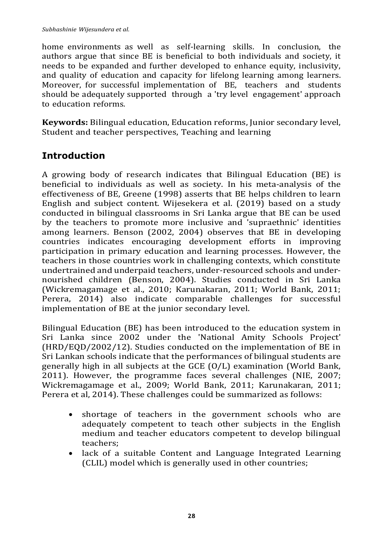home environments as well as self-learning skills. In conclusion, the authors argue that since BE is beneficial to both individuals and society, it needs to be expanded and further developed to enhance equity, inclusivity, and quality of education and capacity for lifelong learning among learners. Moreover, for successful implementation of BE, teachers and students should be adequately supported through a 'try level engagement' approach to education reforms.

**Keywords:** Bilingual education, Education reforms, Junior secondary level, Student and teacher perspectives, Teaching and learning

# **Introduction**

A growing body of research indicates that Bilingual Education (BE) is beneficial to individuals as well as society. In his meta-analysis of the effectiveness of BE, Greene (1998) asserts that BE helps children to learn English and subject content. Wijesekera et al. (2019) based on a study conducted in bilingual classrooms in Sri Lanka argue that BE can be used by the teachers to promote more inclusive and 'supraethnic' identities among learners. Benson (2002, 2004) observes that BE in developing countries indicates encouraging development efforts in improving participation in primary education and learning processes. However, the teachers in those countries work in challenging contexts, which constitute undertrained and underpaid teachers, under-resourced schools and undernourished children (Benson, 2004). Studies conducted in Sri Lanka (Wickremagamage et al., 2010; Karunakaran, 2011; World Bank, 2011; Perera, 2014) also indicate comparable challenges for successful implementation of BE at the junior secondary level.

Bilingual Education (BE) has been introduced to the education system in Sri Lanka since 2002 under the 'National Amity Schools Project' (HRD/EQD/2002/12). Studies conducted on the implementation of BE in Sri Lankan schools indicate that the performances of bilingual students are generally high in all subjects at the GCE (O/L) examination (World Bank, 2011). However, the programme faces several challenges (NIE, 2007; Wickremagamage et al., 2009; World Bank, 2011; Karunakaran, 2011; Perera et al, 2014). These challenges could be summarized as follows:

- shortage of teachers in the government schools who are adequately competent to teach other subjects in the English medium and teacher educators competent to develop bilingual teachers;
- lack of a suitable Content and Language Integrated Learning (CLIL) model which is generally used in other countries;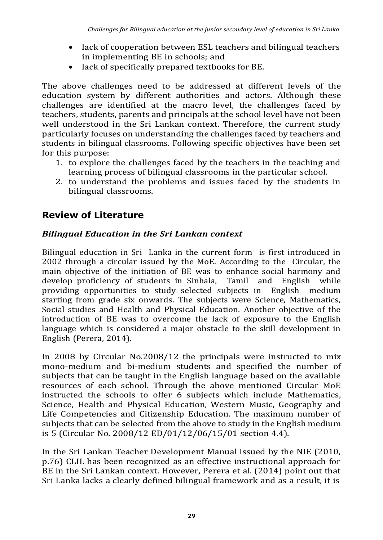- lack of cooperation between ESL teachers and bilingual teachers in implementing BE in schools; and
- lack of specifically prepared textbooks for BE.

The above challenges need to be addressed at different levels of the education system by different authorities and actors. Although these challenges are identified at the macro level, the challenges faced by teachers, students, parents and principals at the school level have not been well understood in the Sri Lankan context. Therefore, the current study particularly focuses on understanding the challenges faced by teachers and students in bilingual classrooms. Following specific objectives have been set for this purpose:

- 1. to explore the challenges faced by the teachers in the teaching and learning process of bilingual classrooms in the particular school.
- 2. to understand the problems and issues faced by the students in bilingual classrooms.

# **Review of Literature**

### *Bilingual Education in the Sri Lankan context*

Bilingual education in Sri Lanka in the current form is first introduced in 2002 through a circular issued by the MoE. According to the Circular, the main objective of the initiation of BE was to enhance social harmony and develop proficiency of students in Sinhala, Tamil and English while providing opportunities to study selected subjects in English medium starting from grade six onwards. The subjects were Science, Mathematics, Social studies and Health and Physical Education. Another objective of the introduction of BE was to overcome the lack of exposure to the English language which is considered a major obstacle to the skill development in English (Perera, 2014).

In 2008 by Circular No.2008/12 the principals were instructed to mix mono-medium and bi-medium students and specified the number of subjects that can be taught in the English language based on the available resources of each school. Through the above mentioned Circular MoE instructed the schools to offer 6 subjects which include Mathematics, Science, Health and Physical Education, Western Music, Geography and Life Competencies and Citizenship Education. The maximum number of subjects that can be selected from the above to study in the English medium is 5 (Circular No. 2008/12 ED/01/12/06/15/01 section 4.4).

In the Sri Lankan Teacher Development Manual issued by the NIE (2010, p.76) CLIL has been recognized as an effective instructional approach for BE in the Sri Lankan context. However, Perera et al. (2014) point out that Sri Lanka lacks a clearly defined bilingual framework and as a result, it is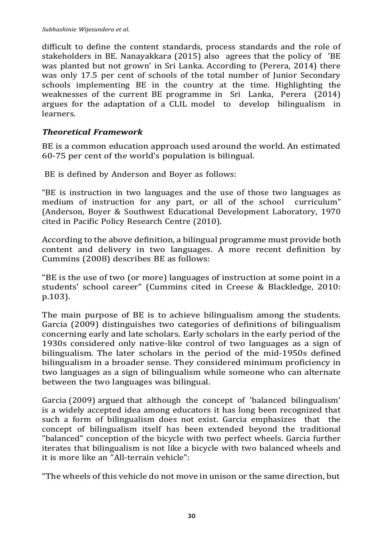difficult to define the content standards, process standards and the role of stakeholders in BE. Nanayakkara (2015) also agrees that the policy of 'BE was planted but not grown' in Sri Lanka. According to (Perera, 2014) there was only 17.5 per cent of schools of the total number of Junior Secondary schools implementing BE in the country at the time. Highlighting the weaknesses of the current BE programme in Sri Lanka, Perera (2014) argues for the adaptation of a CLIL model to develop bilingualism in learners.

#### *Theoretical Framework*

BE is a common education approach used around the world. An estimated 60-75 per cent of the world's population is bilingual.

BE is defined by Anderson and Boyer as follows:

"BE is instruction in two languages and the use of those two languages as medium of instruction for any part, or all of the school curriculum" (Anderson, Boyer & Southwest Educational Development Laboratory, 1970 cited in Pacific Policy Research Centre (2010).

According to the above definition, a bilingual programme must provide both content and delivery in two languages. A more recent definition by Cummins (2008) describes BE as follows:

"BE is the use of two (or more) languages of instruction at some point in a students' school career" (Cummins cited in Creese & Blackledge, 2010: p.103).

The main purpose of BE is to achieve bilingualism among the students. Garcia (2009) distinguishes two categories of definitions of bilingualism concerning early and late scholars. Early scholars in the early period of the 1930s considered only native-like control of two languages as a sign of bilingualism. The later scholars in the period of the mid-1950s defined bilingualism in a broader sense. They considered minimum proficiency in two languages as a sign of bilingualism while someone who can alternate between the two languages was bilingual.

Garcia (2009) argued that although the concept of 'balanced bilingualism' is a widely accepted idea among educators it has long been recognized that such a form of bilingualism does not exist. Garcia emphasizes that the concept of bilingualism itself has been extended beyond the traditional "balanced" conception of the bicycle with two perfect wheels. Garcia further iterates that bilingualism is not like a bicycle with two balanced wheels and it is more like an "All-terrain vehicle":

"The wheels of this vehicle do not move in unison or the same direction, but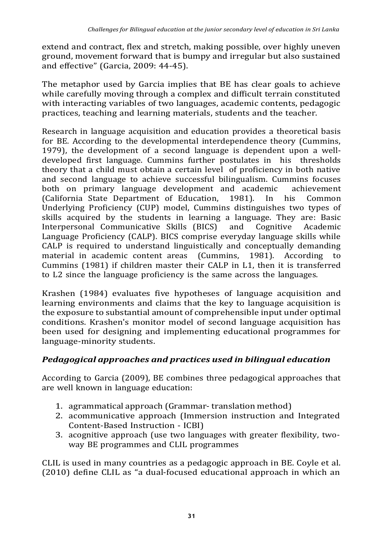extend and contract, flex and stretch, making possible, over highly uneven ground, movement forward that is bumpy and irregular but also sustained and effective" (Garcia, 2009: 44-45).

The metaphor used by Garcia implies that BE has clear goals to achieve while carefully moving through a complex and difficult terrain constituted with interacting variables of two languages, academic contents, pedagogic practices, teaching and learning materials, students and the teacher.

Research in language acquisition and education provides a theoretical basis for BE. According to the developmental interdependence theory (Cummins, 1979), the development of a second language is dependent upon a welldeveloped first language. Cummins further postulates in his thresholds theory that a child must obtain a certain level of proficiency in both native and second language to achieve successful bilingualism. Cummins focuses both on primary language development and academic achievement (California State Department of Education, 1981). In his Common Underlying Proficiency (CUP) model, Cummins distinguishes two types of skills acquired by the students in learning a language. They are: Basic Interpersonal Communicative Skills (BICS) and Cognitive Academic Language Proficiency (CALP). BICS comprise everyday language skills while CALP is required to understand linguistically and conceptually demanding material in academic content areas (Cummins, 1981). According to Cummins (1981) if children master their CALP in L1, then it is transferred to L2 since the language proficiency is the same across the languages.

Krashen (1984) evaluates five hypotheses of language acquisition and learning environments and claims that the key to language acquisition is the exposure to substantial amount of comprehensible input under optimal conditions. Krashen's monitor model of second language acquisition has been used for designing and implementing educational programmes for language-minority students.

### *Pedagogical approaches and practices used in bilingual education*

According to Garcia (2009), BE combines three pedagogical approaches that are well known in language education:

- 1. agrammatical approach (Grammar- translation method)
- 2. acommunicative approach (Immersion instruction and Integrated Content-Based Instruction - ICBI)
- 3. acognitive approach (use two languages with greater flexibility, twoway BE programmes and CLIL programmes

CLIL is used in many countries as a pedagogic approach in BE. Coyle et al. (2010) define CLIL as "a dual-focused educational approach in which an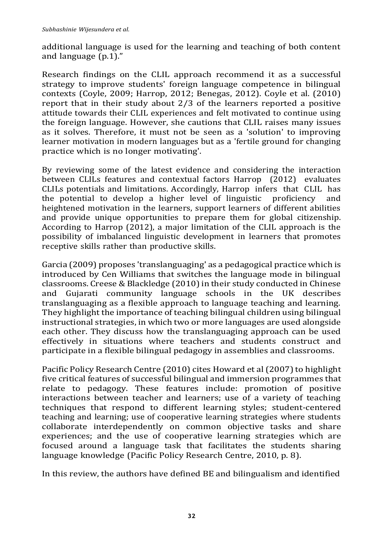additional language is used for the learning and teaching of both content and language (p.1)."

Research findings on the CLIL approach recommend it as a successful strategy to improve students' foreign language competence in bilingual contexts (Coyle, 2009; Harrop, 2012; Benegas, 2012). Coyle et al. (2010) report that in their study about 2/3 of the learners reported a positive attitude towards their CLIL experiences and felt motivated to continue using the foreign language. However, she cautions that CLIL raises many issues as it solves. Therefore, it must not be seen as a 'solution' to improving learner motivation in modern languages but as a 'fertile ground for changing practice which is no longer motivating'.

By reviewing some of the latest evidence and considering the interaction between CLILs features and contextual factors Harrop (2012) evaluates CLILs potentials and limitations. Accordingly, Harrop infers that CLIL has the potential to develop a higher level of linguistic proficiency and heightened motivation in the learners, support learners of different abilities and provide unique opportunities to prepare them for global citizenship. According to Harrop (2012), a major limitation of the CLIL approach is the possibility of imbalanced linguistic development in learners that promotes receptive skills rather than productive skills.

Garcia (2009) proposes 'translanguaging' as a pedagogical practice which is introduced by Cen Williams that switches the language mode in bilingual classrooms. Creese & Blackledge  $(2010)$  in their study conducted in Chinese and Gujarati community language schools in the UK describes translanguaging as a flexible approach to language teaching and learning. They highlight the importance of teaching bilingual children using bilingual instructional strategies, in which two or more languages are used alongside each other. They discuss how the translanguaging approach can be used effectively in situations where teachers and students construct and participate in a flexible bilingual pedagogy in assemblies and classrooms.

Pacific Policy Research Centre (2010) cites Howard et al (2007) to highlight five critical features of successful bilingual and immersion programmes that relate to pedagogy. These features include: promotion of positive interactions between teacher and learners; use of a variety of teaching techniques that respond to different learning styles; student-centered teaching and learning; use of cooperative learning strategies where students collaborate interdependently on common objective tasks and share experiences; and the use of cooperative learning strategies which are focused around a language task that facilitates the students sharing language knowledge (Pacific Policy Research Centre, 2010, p. 8).

In this review, the authors have defined BE and bilingualism and identified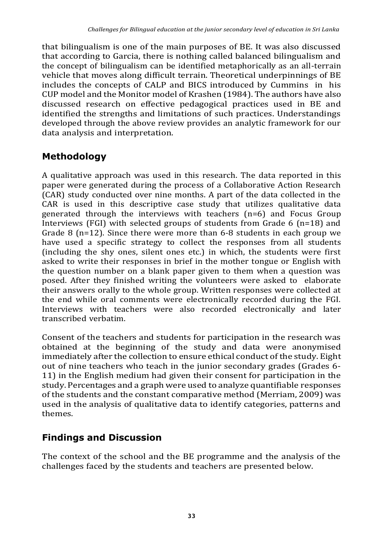that bilingualism is one of the main purposes of BE. It was also discussed that according to Garcia, there is nothing called balanced bilingualism and the concept of bilingualism can be identified metaphorically as an all-terrain vehicle that moves along difficult terrain. Theoretical underpinnings of BE includes the concepts of CALP and BICS introduced by Cummins in his CUP model and the Monitor model of Krashen (1984). The authors have also discussed research on effective pedagogical practices used in BE and identified the strengths and limitations of such practices. Understandings developed through the above review provides an analytic framework for our data analysis and interpretation.

# **Methodology**

A qualitative approach was used in this research. The data reported in this paper were generated during the process of a Collaborative Action Research (CAR) study conducted over nine months. A part of the data collected in the CAR is used in this descriptive case study that utilizes qualitative data generated through the interviews with teachers (n=6) and Focus Group Interviews (FGI) with selected groups of students from Grade 6 (n=18) and Grade 8 (n=12). Since there were more than 6-8 students in each group we have used a specific strategy to collect the responses from all students (including the shy ones, silent ones etc.) in which, the students were first asked to write their responses in brief in the mother tongue or English with the question number on a blank paper given to them when a question was posed. After they finished writing the volunteers were asked to elaborate their answers orally to the whole group. Written responses were collected at the end while oral comments were electronically recorded during the FGI. Interviews with teachers were also recorded electronically and later transcribed verbatim.

Consent of the teachers and students for participation in the research was obtained at the beginning of the study and data were anonymised immediately after the collection to ensure ethical conduct of the study. Eight out of nine teachers who teach in the junior secondary grades (Grades 6- 11) in the English medium had given their consent for participation in the study. Percentages and a graph were used to analyze quantifiable responses of the students and the constant comparative method (Merriam, 2009) was used in the analysis of qualitative data to identify categories, patterns and themes.

# **Findings and Discussion**

The context of the school and the BE programme and the analysis of the challenges faced by the students and teachers are presented below.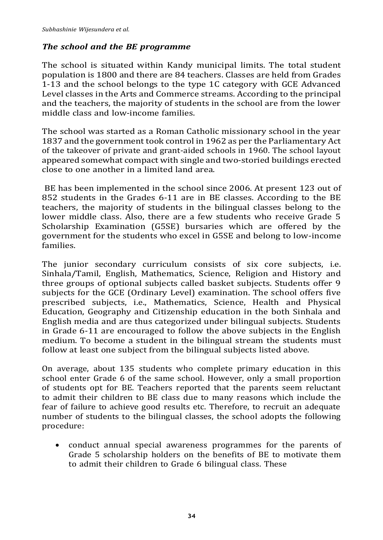## *The school and the BE programme*

The school is situated within Kandy municipal limits. The total student population is 1800 and there are 84 teachers. Classes are held from Grades 1-13 and the school belongs to the type 1C category with GCE Advanced Level classes in the Arts and Commerce streams. According to the principal and the teachers, the majority of students in the school are from the lower middle class and low-income families.

The school was started as a Roman Catholic missionary school in the year 1837 and the government took control in 1962 as per the Parliamentary Act of the takeover of private and grant-aided schools in 1960. The school layout appeared somewhat compact with single and two-storied buildings erected close to one another in a limited land area.

BE has been implemented in the school since 2006. At present 123 out of 852 students in the Grades 6-11 are in BE classes. According to the BE teachers, the majority of students in the bilingual classes belong to the lower middle class. Also, there are a few students who receive Grade 5 Scholarship Examination (G5SE) bursaries which are offered by the government for the students who excel in G5SE and belong to low-income families.

The junior secondary curriculum consists of six core subjects, i.e. Sinhala/Tamil, English, Mathematics, Science, Religion and History and three groups of optional subjects called basket subjects. Students offer 9 subjects for the GCE (Ordinary Level) examination. The school offers five prescribed subjects, i.e., Mathematics, Science, Health and Physical Education, Geography and Citizenship education in the both Sinhala and English media and are thus categorized under bilingual subjects. Students in Grade 6-11 are encouraged to follow the above subjects in the English medium. To become a student in the bilingual stream the students must follow at least one subject from the bilingual subjects listed above.

On average, about 135 students who complete primary education in this school enter Grade 6 of the same school. However, only a small proportion of students opt for BE. Teachers reported that the parents seem reluctant to admit their children to BE class due to many reasons which include the fear of failure to achieve good results etc. Therefore, to recruit an adequate number of students to the bilingual classes, the school adopts the following procedure:

• conduct annual special awareness programmes for the parents of Grade 5 scholarship holders on the benefits of BE to motivate them to admit their children to Grade 6 bilingual class. These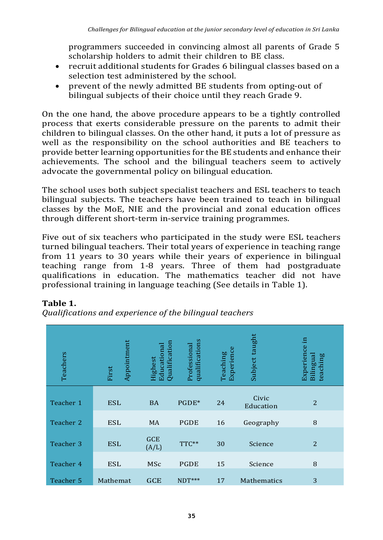programmers succeeded in convincing almost all parents of Grade 5 scholarship holders to admit their children to BE class.

- recruit additional students for Grades 6 bilingual classes based on a selection test administered by the school.
- prevent of the newly admitted BE students from opting-out of bilingual subjects of their choice until they reach Grade 9.

On the one hand, the above procedure appears to be a tightly controlled process that exerts considerable pressure on the parents to admit their children to bilingual classes. On the other hand, it puts a lot of pressure as well as the responsibility on the school authorities and BE teachers to provide better learning opportunities for the BE students and enhance their achievements. The school and the bilingual teachers seem to actively advocate the governmental policy on bilingual education.

The school uses both subject specialist teachers and ESL teachers to teach bilingual subjects. The teachers have been trained to teach in bilingual classes by the MoE, NIE and the provincial and zonal education offices through different short-term in-service training programmes.

Five out of six teachers who participated in the study were ESL teachers turned bilingual teachers. Their total years of experience in teaching range from 11 years to 30 years while their years of experience in bilingual teaching range from 1-8 years. Three of them had postgraduate qualifications in education. The mathematics teacher did not have professional training in language teaching (See details in Table 1).

| Teachers  | Appointment<br>First | $\mathop{\mathrm{Qualification}}$<br>Educational<br>Highest | qualifications<br>Professional | Experience<br>Teaching | Subject taught     | 르<br>Experience<br>Bilingual<br>teaching |
|-----------|----------------------|-------------------------------------------------------------|--------------------------------|------------------------|--------------------|------------------------------------------|
| Teacher 1 | <b>ESL</b>           | <b>BA</b>                                                   | PGDE*                          | 24                     | Civic<br>Education | $\overline{2}$                           |
| Teacher 2 | <b>ESL</b>           | <b>MA</b>                                                   | PGDE                           | 16                     | Geography          | 8                                        |
| Teacher 3 | <b>ESL</b>           | <b>GCE</b><br>(A/L)                                         | TTC**                          | 30                     | Science            | $\overline{2}$                           |
| Teacher 4 | <b>ESL</b>           | <b>MSc</b>                                                  | <b>PGDE</b>                    | 15                     | Science            | 8                                        |
| Teacher 5 | Mathemat             | <b>GCE</b>                                                  | $NDT***$                       | 17                     | Mathematics        | 3                                        |

#### **Table 1.**

*Qualifications and experience of the bilingual teachers*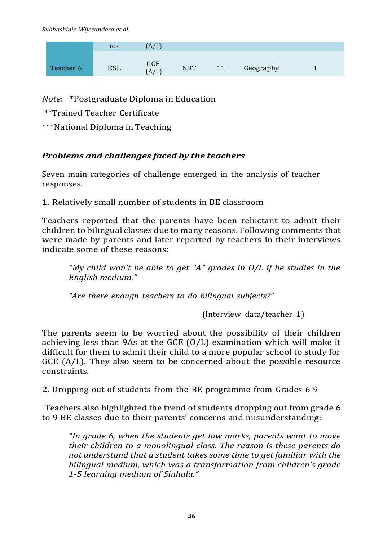*Subhashinie Wijesundera et al.*

|           | ics        | (A/L)             |            |    |           |  |
|-----------|------------|-------------------|------------|----|-----------|--|
| Teacher 6 | <b>ESL</b> | <b>GCE</b><br>A/L | <b>NDT</b> | 11 | Geography |  |

*Note*: \*Postgraduate Diploma in Education

\*\*Trained Teacher Certificate

\*\*\*National Diploma in Teaching

#### *Problems and challenges faced by the teachers*

Seven main categories of challenge emerged in the analysis of teacher responses.

1. Relatively small number of students in BE classroom

Teachers reported that the parents have been reluctant to admit their children to bilingual classes due to many reasons. Following comments that were made by parents and later reported by teachers in their interviews indicate some of these reasons:

*"My child won't be able to get "A" grades in O/L if he studies in the English medium."*

*"Are there enough teachers to do bilingual subjects?"*

(Interview data/teacher 1)

The parents seem to be worried about the possibility of their children achieving less than 9As at the GCE (O/L) examination which will make it difficult for them to admit their child to a more popular school to study for GCE  $(A/L)$ . They also seem to be concerned about the possible resource constraints.

2. Dropping out of students from the BE programme from Grades 6-9

Teachers also highlighted the trend of students dropping out from grade 6 to 9 BE classes due to their parents' concerns and misunderstanding:

*"In grade 6, when the students get low marks, parents want to move their children to a monolingual class. The reason is these parents do not understand that a student takes some time to get familiar with the bilingual medium, which was a transformation from children's grade 1-5 learning medium of Sinhala."*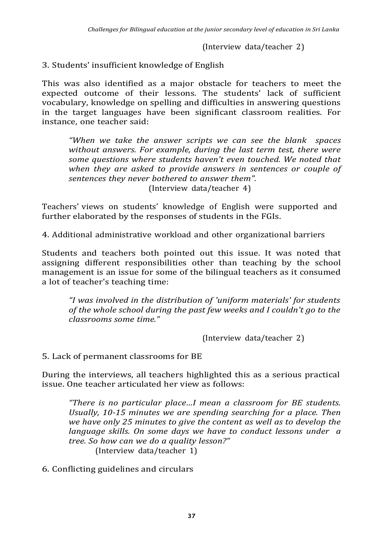(Interview data/teacher 2)

3. Students' insufficient knowledge of English

This was also identified as a major obstacle for teachers to meet the expected outcome of their lessons. The students' lack of sufficient vocabulary, knowledge on spelling and difficulties in answering questions in the target languages have been significant classroom realities. For instance, one teacher said:

*"When we take the answer scripts we can see the blank spaces without answers. For example, during the last term test, there were some questions where students haven't even touched. We noted that when they are asked to provide answers in sentences or couple of sentences they never bothered to answer them".*

(Interview data/teacher 4)

Teachers' views on students' knowledge of English were supported and further elaborated by the responses of students in the FGIs.

4. Additional administrative workload and other organizational barriers

Students and teachers both pointed out this issue. It was noted that assigning different responsibilities other than teaching by the school management is an issue for some of the bilingual teachers as it consumed a lot of teacher's teaching time:

*"I was involved in the distribution of 'uniform materials' for students of the whole school during the past few weeks and I couldn't go to the classrooms some time."*

(Interview data/teacher 2)

5. Lack of permanent classrooms for BE

During the interviews, all teachers highlighted this as a serious practical issue. One teacher articulated her view as follows:

*"There is no particular place…I mean a classroom for BE students. Usually, 10-15 minutes we are spending searching for a place. Then we have only 25 minutes to give the content as well as to develop the language skills. On some days we have to conduct lessons under a tree. So how can we do a quality lesson?"* (Interview data/teacher 1)

6. Conflicting guidelines and circulars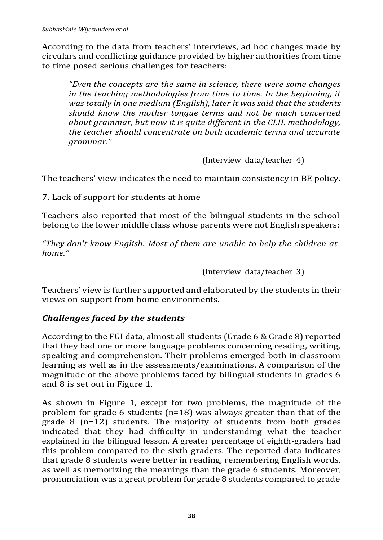According to the data from teachers' interviews, ad hoc changes made by circulars and conflicting guidance provided by higher authorities from time to time posed serious challenges for teachers:

*"Even the concepts are the same in science, there were some changes in the teaching methodologies from time to time. In the beginning, it was totally in one medium (English), later it was said that the students should know the mother tongue terms and not be much concerned about grammar, but now it is quite different in the CLIL methodology, the teacher should concentrate on both academic terms and accurate grammar."*

(Interview data/teacher 4)

The teachers' view indicates the need to maintain consistency in BE policy.

7. Lack of support for students at home

Teachers also reported that most of the bilingual students in the school belong to the lower middle class whose parents were not English speakers:

*"They don't know English. Most of them are unable to help the children at home."*

(Interview data/teacher 3)

Teachers' view is further supported and elaborated by the students in their views on support from home environments.

#### *Challenges faced by the students*

According to the FGI data, almost all students (Grade 6 & Grade 8) reported that they had one or more language problems concerning reading, writing, speaking and comprehension. Their problems emerged both in classroom learning as well as in the assessments/examinations. A comparison of the magnitude of the above problems faced by bilingual students in grades 6 and 8 is set out in Figure 1.

As shown in Figure 1, except for two problems, the magnitude of the problem for grade 6 students (n=18) was always greater than that of the grade 8 (n=12) students. The majority of students from both grades indicated that they had difficulty in understanding what the teacher explained in the bilingual lesson. A greater percentage of eighth-graders had this problem compared to the sixth-graders. The reported data indicates that grade 8 students were better in reading, remembering English words, as well as memorizing the meanings than the grade 6 students. Moreover, pronunciation was a great problem for grade 8 students compared to grade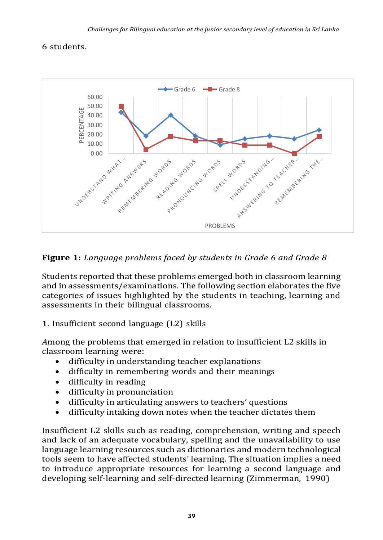### 6 students.



### **Figure 1:** *Language problems faced by students in Grade 6 and Grade 8*

Students reported that these problems emerged both in classroom learning and in assessments/examinations. The following section elaborates the five categories of issues highlighted by the students in teaching, learning and assessments in their bilingual classrooms.

#### 1. Insufficient second language (L2) skills

*A*mong the problems that emerged in relation to insufficient L2 skills in classroom learning were:

- difficulty in understanding teacher explanations
- difficulty in remembering words and their meanings
- difficulty in reading
- difficulty in pronunciation
- difficulty in articulating answers to teachers' questions
- difficulty intaking down notes when the teacher dictates them

Insufficient L2 skills such as reading, comprehension, writing and speech and lack of an adequate vocabulary, spelling and the unavailability to use language learning resources such as dictionaries and modern technological tools seem to have affected students' learning. The situation implies a need to introduce appropriate resources for learning a second language and developing self-learning and self-directed learning (Zimmerman, 1990)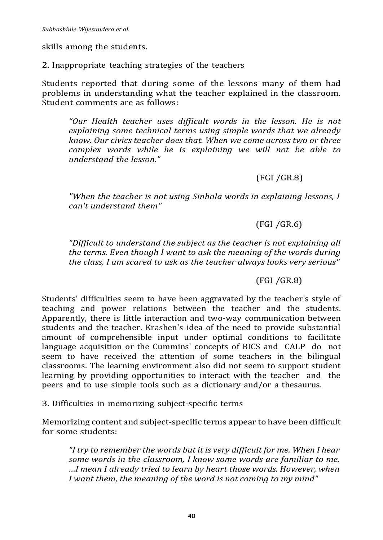skills among the students.

2. Inappropriate teaching strategies of the teachers

Students reported that during some of the lessons many of them had problems in understanding what the teacher explained in the classroom. Student comments are as follows:

*"Our Health teacher uses difficult words in the lesson. He is not explaining some technical terms using simple words that we already know. Our civics teacher does that. When we come across two or three complex words while he is explaining we will not be able to understand the lesson."*

#### (FGI /GR.8)

*"When the teacher is not using Sinhala words in explaining lessons, I can't understand them"*

#### (FGI /GR.6)

*"Difficult to understand the subject as the teacher is not explaining all the terms. Even though I want to ask the meaning of the words during the class, I am scared to ask as the teacher always looks very serious"*

#### (FGI /GR.8)

Students' difficulties seem to have been aggravated by the teacher's style of teaching and power relations between the teacher and the students. Apparently, there is little interaction and two-way communication between students and the teacher. Krashen's idea of the need to provide substantial amount of comprehensible input under optimal conditions to facilitate language acquisition or the Cummins' concepts of BICS and CALP do not seem to have received the attention of some teachers in the bilingual classrooms. The learning environment also did not seem to support student learning by providing opportunities to interact with the teacher and the peers and to use simple tools such as a dictionary and/or a thesaurus.

3. Difficulties in memorizing subject-specific terms

Memorizing content and subject-specific terms appear to have been difficult for some students:

*"I try to remember the words but it is very difficult for me. When I hear some words in the classroom, I know some words are familiar to me. …I mean I already tried to learn by heart those words. However, when I want them, the meaning of the word is not coming to my mind"*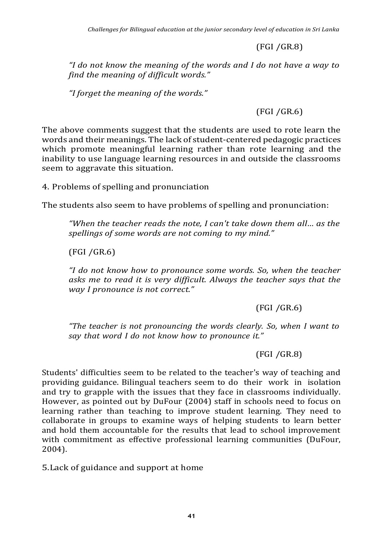(FGI /GR.8)

*"I do not know the meaning of the words and I do not have a way to find the meaning of difficult words."*

*"I forget the meaning of the words."*

(FGI /GR.6)

The above comments suggest that the students are used to rote learn the words and their meanings. The lack of student-centered pedagogic practices which promote meaningful learning rather than rote learning and the inability to use language learning resources in and outside the classrooms seem to aggravate this situation.

4. Problems of spelling and pronunciation

The students also seem to have problems of spelling and pronunciation:

*"When the teacher reads the note, I can't take down them all… as the spellings of some words are not coming to my mind."*

(FGI /GR.6)

*"I do not know how to pronounce some words. So, when the teacher asks me to read it is very difficult. Always the teacher says that the way I pronounce is not correct."*

(FGI /GR.6)

*"The teacher is not pronouncing the words clearly. So, when I want to say that word I do not know how to pronounce it."*

(FGI /GR.8)

Students' difficulties seem to be related to the teacher's way of teaching and providing guidance. Bilingual teachers seem to do their work in isolation and try to grapple with the issues that they face in classrooms individually. However, as pointed out by DuFour (2004) staff in schools need to focus on learning rather than teaching to improve student learning. They need to collaborate in groups to examine ways of helping students to learn better and hold them accountable for the results that lead to school improvement with commitment as effective professional learning communities (DuFour, 2004).

5.Lack of guidance and support at home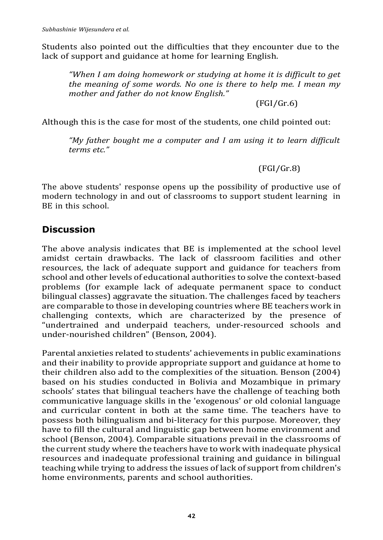Students also pointed out the difficulties that they encounter due to the lack of support and guidance at home for learning English.

*"When I am doing homework or studying at home it is difficult to get the meaning of some words. No one is there to help me. I mean my mother and father do not know English."*

(FGI/Gr.6)

Although this is the case for most of the students, one child pointed out:

*"My father bought me a computer and I am using it to learn difficult terms etc."*

(FGI/Gr.8)

The above students' response opens up the possibility of productive use of modern technology in and out of classrooms to support student learning in BE in this school.

### **Discussion**

The above analysis indicates that BE is implemented at the school level amidst certain drawbacks. The lack of classroom facilities and other resources, the lack of adequate support and guidance for teachers from school and other levels of educational authorities to solve the context-based problems (for example lack of adequate permanent space to conduct bilingual classes) aggravate the situation. The challenges faced by teachers are comparable to those in developing countries where BE teachers work in challenging contexts, which are characterized by the presence of "undertrained and underpaid teachers, under-resourced schools and under-nourished children" (Benson, 2004).

Parental anxieties related to students' achievements in public examinations and their inability to provide appropriate support and guidance at home to their children also add to the complexities of the situation. Benson (2004) based on his studies conducted in Bolivia and Mozambique in primary schools' states that bilingual teachers have the challenge of teaching both communicative language skills in the 'exogenous' or old colonial language and curricular content in both at the same time. The teachers have to possess both bilingualism and bi-literacy for this purpose. Moreover, they have to fill the cultural and linguistic gap between home environment and school (Benson, 2004). Comparable situations prevail in the classrooms of the current study where the teachers have to work with inadequate physical resources and inadequate professional training and guidance in bilingual teaching while trying to address the issues of lack of support from children's home environments, parents and school authorities.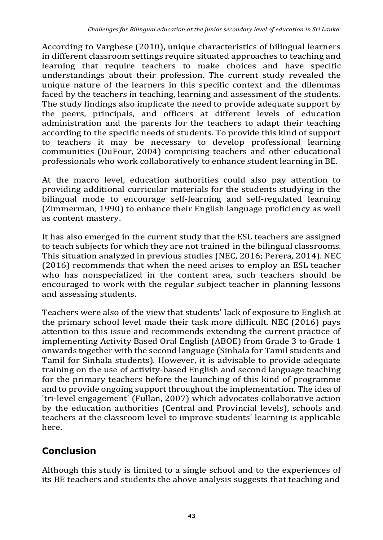According to Varghese (2010), unique characteristics of bilingual learners in different classroom settings require situated approaches to teaching and learning that require teachers to make choices and have specific understandings about their profession. The current study revealed the unique nature of the learners in this specific context and the dilemmas faced by the teachers in teaching, learning and assessment of the students. The study findings also implicate the need to provide adequate support by the peers, principals, and officers at different levels of education administration and the parents for the teachers to adapt their teaching according to the specific needs of students. To provide this kind of support to teachers it may be necessary to develop professional learning communities (DuFour, 2004) comprising teachers and other educational professionals who work collaboratively to enhance student learning in BE.

At the macro level, education authorities could also pay attention to providing additional curricular materials for the students studying in the bilingual mode to encourage self-learning and self-regulated learning (Zimmerman, 1990) to enhance their English language proficiency as well as content mastery.

It has also emerged in the current study that the ESL teachers are assigned to teach subjects for which they are not trained in the bilingual classrooms. This situation analyzed in previous studies (NEC, 2016; Perera, 2014). NEC (2016) recommends that when the need arises to employ an ESL teacher who has nonspecialized in the content area, such teachers should be encouraged to work with the regular subject teacher in planning lessons and assessing students.

Teachers were also of the view that students' lack of exposure to English at the primary school level made their task more difficult. NEC (2016) pays attention to this issue and recommends extending the current practice of implementing Activity Based Oral English (ABOE) from Grade 3 to Grade 1 onwards together with the second language (Sinhala for Tamil students and Tamil for Sinhala students). However, it is advisable to provide adequate training on the use of activity-based English and second language teaching for the primary teachers before the launching of this kind of programme and to provide ongoing support throughout the implementation. The idea of 'tri-level engagement' (Fullan, 2007) which advocates collaborative action by the education authorities (Central and Provincial levels), schools and teachers at the classroom level to improve students' learning is applicable here.

# **Conclusion**

Although this study is limited to a single school and to the experiences of its BE teachers and students the above analysis suggests that teaching and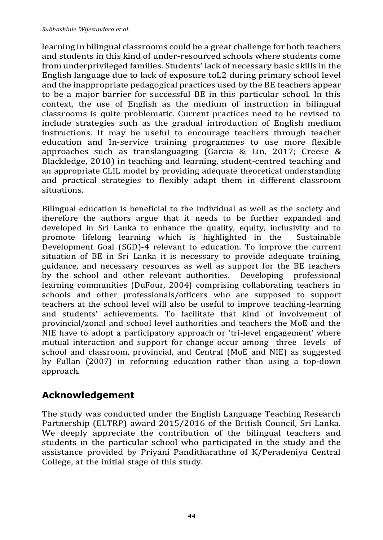learning in bilingual classrooms could be a great challenge for both teachers and students in this kind of under-resourced schools where students come from underprivileged families. Students' lack of necessary basic skills in the English language due to lack of exposure toL2 during primary school level and the inappropriate pedagogical practices used by the BE teachers appear to be a major barrier for successful BE in this particular school. In this context, the use of English as the medium of instruction in bilingual classrooms is quite problematic. Current practices need to be revised to include strategies such as the gradual introduction of English medium instructions. It may be useful to encourage teachers through teacher education and In-service training programmes to use more flexible approaches such as translanguaging (Garcia & Lin, 2017; Creese & Blackledge, 2010) in teaching and learning, student-centred teaching and an appropriate CLIL model by providing adequate theoretical understanding and practical strategies to flexibly adapt them in different classroom situations.

Bilingual education is beneficial to the individual as well as the society and therefore the authors argue that it needs to be further expanded and developed in Sri Lanka to enhance the quality, equity, inclusivity and to promote lifelong learning which is highlighted in the Sustainable Development Goal (SGD)-4 relevant to education. To improve the current situation of BE in Sri Lanka it is necessary to provide adequate training, guidance, and necessary resources as well as support for the BE teachers by the school and other relevant authorities. Developing professional learning communities (DuFour, 2004) comprising collaborating teachers in schools and other professionals/officers who are supposed to support teachers at the school level will also be useful to improve teaching-learning and students' achievements. To facilitate that kind of involvement of provincial/zonal and school level authorities and teachers the MoE and the NIE have to adopt a participatory approach or 'tri-level engagement' where mutual interaction and support for change occur among three levels of school and classroom, provincial, and Central (MoE and NIE) as suggested by Fullan (2007) in reforming education rather than using a top-down approach.

## **Acknowledgement**

The study was conducted under the English Language Teaching Research Partnership (ELTRP) award 2015/2016 of the British Council, Sri Lanka. We deeply appreciate the contribution of the bilingual teachers and students in the particular school who participated in the study and the assistance provided by Priyani Panditharathne of K/Peradeniya Central College, at the initial stage of this study.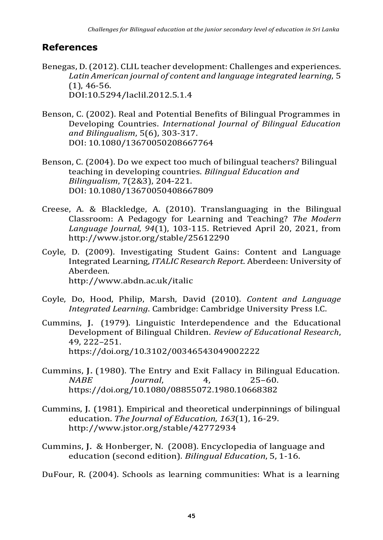## **References**

- Benegas, D. (2012). CLIL teacher development: Challenges and experiences. *Latin American journal of content and language integrated learning*, 5 (1), 46-56. DOI[:10.5294/laclil.2012.5.1.4](http://dx.doi.org/10.5294/laclil.2012.5.1.4)
- Benson, C. (2002). Real and Potential Benefits of Bilingual Programmes in Developing Countries. *International Journal of Bilingual Education and Bilingualism*, 5(6), 303-317. DOI: 10.1080/13670050208667764
- Benson, C. (2004). Do we expect too much of bilingual teachers? Bilingual teaching in developing countries. *Bilingual Education and Bilingualism*, 7(2&3), 204-221. DOI: 10.1080/13670050408667809
- Creese, A. & Blackledge, A. (2010). Translanguaging in the Bilingual Classroom: A Pedagogy for Learning and Teaching? *The Modern Language Journal, 94*(1), 103-115. Retrieved April 20, 2021, from <http://www.jstor.org/stable/25612290>
- Coyle, D. (2009). Investigating Student Gains: Content and Language Integrated Learning, *ITALIC Research Report*. Aberdeen: University of Aberdeen. <http://www.abdn.ac.uk/italic>
- Coyle, Do, Hood, Philip, Marsh, David (2010). *Content and Language Integrated Learning*. Cambridge: Cambridge University Press I.C.
- Cummins, J. (1979). Linguistic Interdependence and the Educational Development of Bilingual Children. *Review of Educational Research*, 49, 222–251. https:/[/doi.org/10.3102/00346543049002222](https://doi.org/10.3102%2F00346543049002222)
- Cummins, J. (1980). The Entry and Exit Fallacy in Bilingual Education. *NABE Journal*, 4, 25–60. <https://doi.org/10.1080/08855072.1980.10668382>
- Cummins, J. (1981). Empirical and theoretical underpinnings of bilingual education. *The Journal of Education, 163*(1), 16-29. <http://www.jstor.org/stable/42772934>
- Cummins, J. & Honberger, N. (2008). Encyclopedia of language and education (second edition). *Bilingual Education*, 5, 1-16.
- DuFour, R. (2004). Schools as learning communities: What is a learning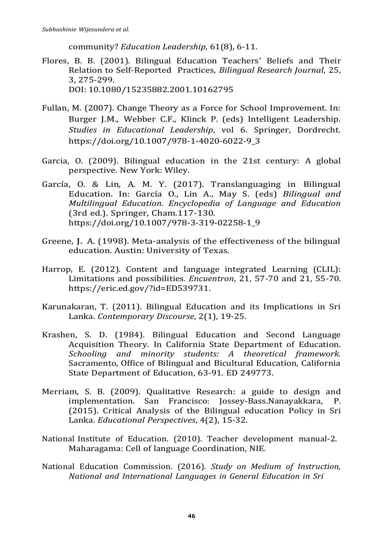community? *Education Leadership*, 61(8), 6-11.

- Flores, B. B. (2001). Bilingual Education Teachers' Beliefs and Their Relation to Self-Reported Practices, *Bilingual Research Journal*, 25, 3, 275-299. DOI: [10.1080/15235882.2001.10162795](https://doi.org/10.1080/15235882.2001.10162795)
- Fullan, M. (2007). Change Theory as a Force for School Improvement. In: Burger J.M., Webber C.F., Klinck P. (eds) Intelligent Leadership. *Studies in Educational Leadership*, vol 6. Springer, Dordrecht. https://doi.org/10.1007/978-1-4020-6022-9\_3
- Garcia, O. (2009). Bilingual education in the 21st century: A global perspective. New York: Wiley.
- García, O. & Lin, A. M. Y. (2017). Translanguaging in Bilingual Education. In: García O., Lin A., May S. (eds) *Bilingual and Multilingual Education. Encyclopedia of Language and Education* (3rd ed.). Springer, Cham.117-130. [https://doi.org/10.1007/978-3-319-02258-1\\_9](https://doi.org/10.1007/978-3-319-02258-1_9)
- Greene, J. A. (1998). Meta-analysis of the effectiveness of the bilingual education. Austin: University of Texas.
- Harrop, E. (2012). Content and language integrated Learning (CLIL): Limitations and possibilities*. Encuentron*, 21, 57-70 and 21, 55-70. [https://eric.ed.gov/?id=ED539731.](https://eric.ed.gov/?id=ED539731)
- Karunakaran, T. (2011). Bilingual Education and its Implications in Sri Lanka. *Contemporary Discourse*, 2(1), 19-25.
- Krashen, S. D. (1984). Bilingual Education and Second Language Acquisition Theory. In California State Department of Education. *Schooling and minority students: A theoretical framework.* Sacramento, Office of Bilingual and Bicultural Education, California State Department of Education, 63-91. ED 249773.
- Merriam, S. B. (2009). Qualitative Research: a guide to design and implementation. San Francisco: Jossey-Bass.Nanayakkara, P. (2015). Critical Analysis of the Bilingual education Policy in Sri Lanka. *Educational Perspectives*, 4(2), 15-32.
- National Institute of Education. (2010). Teacher development manual-2. Maharagama: Cell of language Coordination, NIE.
- National Education Commission. (2016). *Study on Medium of Instruction, National and International Languages in General Education in Sri*